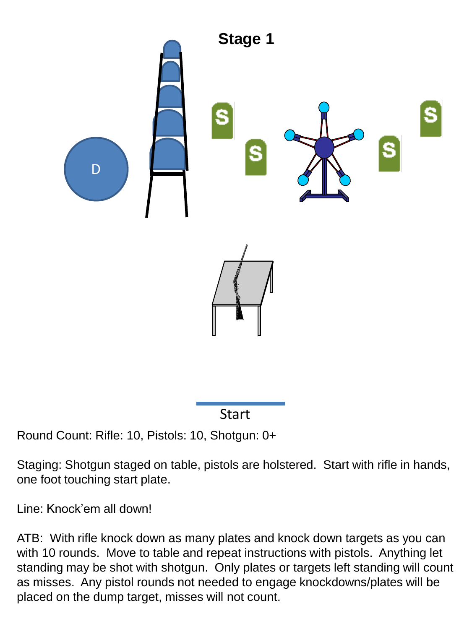

**Start** 

## Round Count: Rifle: 10, Pistols: 10, Shotgun: 0+

Staging: Shotgun staged on table, pistols are holstered. Start with rifle in hands, one foot touching start plate.

Line: Knock'em all down!

ATB: With rifle knock down as many plates and knock down targets as you can with 10 rounds. Move to table and repeat instructions with pistols. Anything let standing may be shot with shotgun. Only plates or targets left standing will count as misses. Any pistol rounds not needed to engage knockdowns/plates will be placed on the dump target, misses will not count.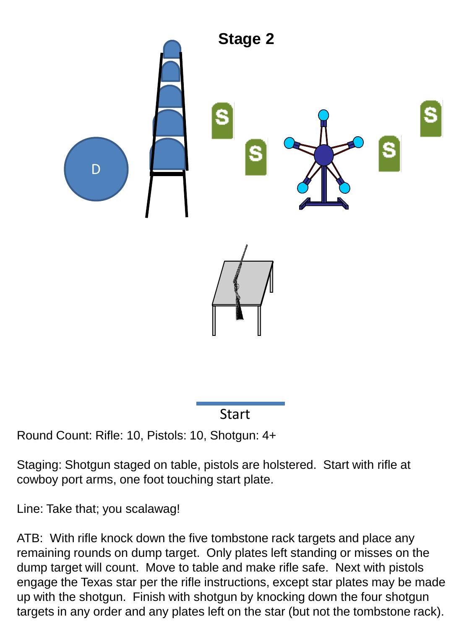

Start

## Round Count: Rifle: 10, Pistols: 10, Shotgun: 4+

Staging: Shotgun staged on table, pistols are holstered. Start with rifle at cowboy port arms, one foot touching start plate.

Line: Take that; you scalawag!

ATB: With rifle knock down the five tombstone rack targets and place any remaining rounds on dump target. Only plates left standing or misses on the dump target will count. Move to table and make rifle safe. Next with pistols engage the Texas star per the rifle instructions, except star plates may be made up with the shotgun. Finish with shotgun by knocking down the four shotgun targets in any order and any plates left on the star (but not the tombstone rack).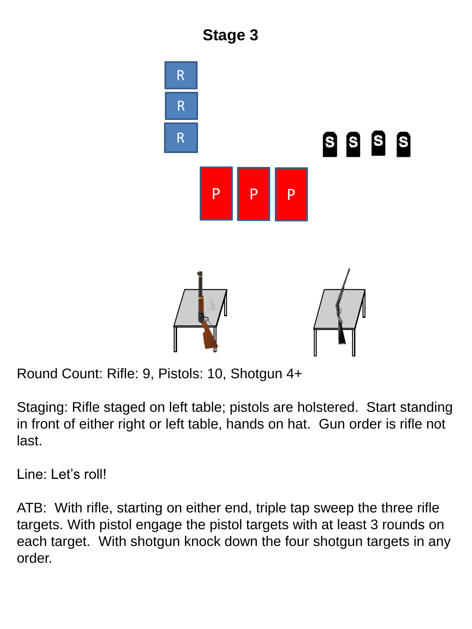

Round Count: Rifle: 9, Pistols: 10, Shotgun 4+

Staging: Rifle staged on left table; pistols are holstered. Start standing in front of either right or left table, hands on hat. Gun order is rifle not last.

Line: Let's roll!

ATB: With rifle, starting on either end, triple tap sweep the three rifle targets. With pistol engage the pistol targets with at least 3 rounds on each target. With shotgun knock down the four shotgun targets in any order.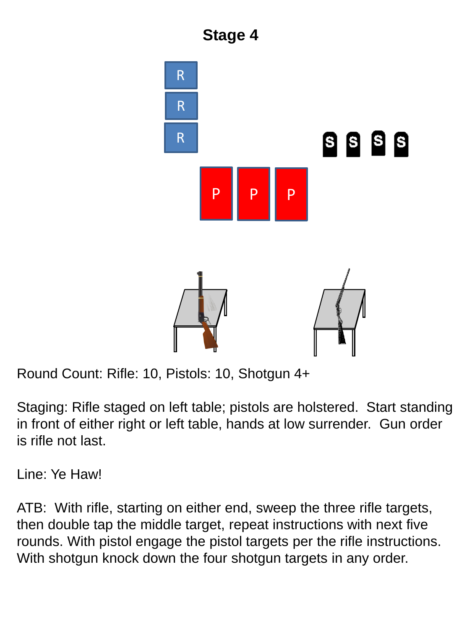

Round Count: Rifle: 10, Pistols: 10, Shotgun 4+

Staging: Rifle staged on left table; pistols are holstered. Start standing in front of either right or left table, hands at low surrender. Gun order is rifle not last.

Line: Ye Haw!

ATB: With rifle, starting on either end, sweep the three rifle targets, then double tap the middle target, repeat instructions with next five rounds. With pistol engage the pistol targets per the rifle instructions. With shotgun knock down the four shotgun targets in any order.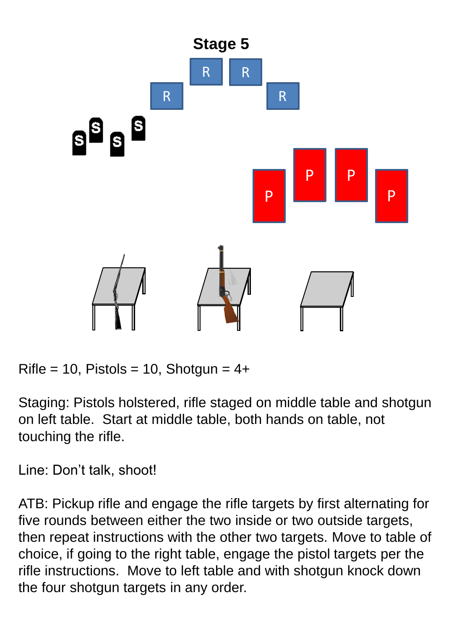

 $Rifle = 10$ , Pistols = 10, Shotgun = 4+

Staging: Pistols holstered, rifle staged on middle table and shotgun on left table. Start at middle table, both hands on table, not touching the rifle.

Line: Don't talk, shoot!

ATB: Pickup rifle and engage the rifle targets by first alternating for five rounds between either the two inside or two outside targets, then repeat instructions with the other two targets. Move to table of choice, if going to the right table, engage the pistol targets per the rifle instructions. Move to left table and with shotgun knock down the four shotgun targets in any order.